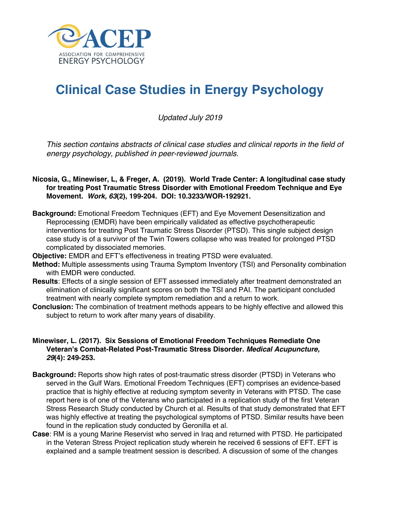

# **Clinical Case Studies in Energy Psychology**

*Updated July 2019*

*This section contains abstracts of clinical case studies and clinical reports in the field of energy psychology, published in peer-reviewed journals.*

- **Nicosia, G., Minewiser, L, & Freger, A. (2019). World Trade Center: A longitudinal case study for treating Post Traumatic Stress Disorder with Emotional Freedom Technique and Eye Movement.** *Work, 63***(2), 199-204. DOI: 10.3233/WOR-192921.**
- **Background:** Emotional Freedom Techniques (EFT) and Eye Movement Desensitization and Reprocessing (EMDR) have been empirically validated as effective psychotherapeutic interventions for treating Post Traumatic Stress Disorder (PTSD). This single subject design case study is of a survivor of the Twin Towers collapse who was treated for prolonged PTSD complicated by dissociated memories.
- **Objective:** EMDR and EFT's effectiveness in treating PTSD were evaluated.
- **Method:** Multiple assessments using Trauma Symptom Inventory (TSI) and Personality combination with EMDR were conducted.
- **Results**: Effects of a single session of EFT assessed immediately after treatment demonstrated an elimination of clinically significant scores on both the TSI and PAI. The participant concluded treatment with nearly complete symptom remediation and a return to work.
- **Conclusion:** The combination of treatment methods appears to be highly effective and allowed this subject to return to work after many years of disability.

**Minewiser, L. (2017). Six Sessions of Emotional Freedom Techniques Remediate One Veteran's Combat-Related Post-Traumatic Stress Disorder.** *Medical Acupuncture, 29***(4): 249-253.**

- **Background:** Reports show high rates of post-traumatic stress disorder (PTSD) in Veterans who served in the Gulf Wars. Emotional Freedom Techniques (EFT) comprises an evidence-based practice that is highly effective at reducing symptom severity in Veterans with PTSD. The case report here is of one of the Veterans who participated in a replication study of the first Veteran Stress Research Study conducted by Church et al. Results of that study demonstrated that EFT was highly effective at treating the psychological symptoms of PTSD. Similar results have been found in the replication study conducted by Geronilla et al.
- **Case**: RM is a young Marine Reservist who served in Iraq and returned with PTSD. He participated in the Veteran Stress Project replication study wherein he received 6 sessions of EFT. EFT is explained and a sample treatment session is described. A discussion of some of the changes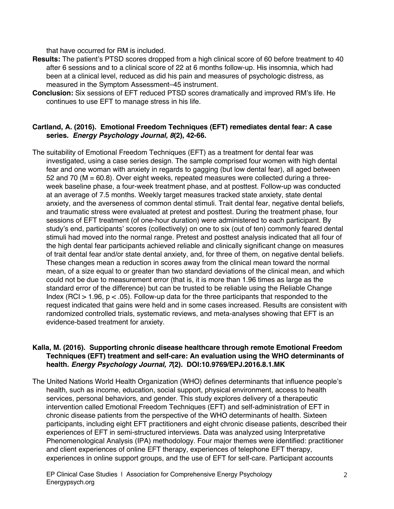that have occurred for RM is included.

- **Results:** The patient's PTSD scores dropped from a high clinical score of 60 before treatment to 40 after 6 sessions and to a clinical score of 22 at 6 months follow-up. His insomnia, which had been at a clinical level, reduced as did his pain and measures of psychologic distress, as measured in the Symptom Assessment–45 instrument.
- **Conclusion:** Six sessions of EFT reduced PTSD scores dramatically and improved RM's life. He continues to use EFT to manage stress in his life.

## **Cartland, A. (2016). Emotional Freedom Techniques (EFT) remediates dental fear: A case series.** *Energy Psychology Journal, 8***(2), 42-66.**

The suitability of Emotional Freedom Techniques (EFT) as a treatment for dental fear was investigated, using a case series design. The sample comprised four women with high dental fear and one woman with anxiety in regards to gagging (but low dental fear), all aged between 52 and 70 (M = 60.8). Over eight weeks, repeated measures were collected during a threeweek baseline phase, a four-week treatment phase, and at posttest. Follow-up was conducted at an average of 7.5 months. Weekly target measures tracked state anxiety, state dental anxiety, and the averseness of common dental stimuli. Trait dental fear, negative dental beliefs, and traumatic stress were evaluated at pretest and posttest. During the treatment phase, four sessions of EFT treatment (of one-hour duration) were administered to each participant. By study's end, participants' scores (collectively) on one to six (out of ten) commonly feared dental stimuli had moved into the normal range. Pretest and posttest analysis indicated that all four of the high dental fear participants achieved reliable and clinically significant change on measures of trait dental fear and/or state dental anxiety, and, for three of them, on negative dental beliefs. These changes mean a reduction in scores away from the clinical mean toward the normal mean, of a size equal to or greater than two standard deviations of the clinical mean, and which could not be due to measurement error (that is, it is more than 1.96 times as large as the standard error of the difference) but can be trusted to be reliable using the Reliable Change Index (RCI  $>$  1.96,  $p <$  .05). Follow-up data for the three participants that responded to the request indicated that gains were held and in some cases increased. Results are consistent with randomized controlled trials, systematic reviews, and meta-analyses showing that EFT is an evidence-based treatment for anxiety.

#### **Kalla, M. (2016). Supporting chronic disease healthcare through remote Emotional Freedom Techniques (EFT) treatment and self-care: An evaluation using the WHO determinants of health.** *Energy Psychology Journal, 7***(2). DOI:10.9769/EPJ.2016.8.1.MK**

The United Nations World Health Organization (WHO) defines determinants that influence people's health, such as income, education, social support, physical environment, access to health services, personal behaviors, and gender. This study explores delivery of a therapeutic intervention called Emotional Freedom Techniques (EFT) and self-administration of EFT in chronic disease patients from the perspective of the WHO determinants of health. Sixteen participants, including eight EFT practitioners and eight chronic disease patients, described their experiences of EFT in semi-structured interviews. Data was analyzed using Interpretative Phenomenological Analysis (IPA) methodology. Four major themes were identified: practitioner and client experiences of online EFT therapy, experiences of telephone EFT therapy, experiences in online support groups, and the use of EFT for self-care. Participant accounts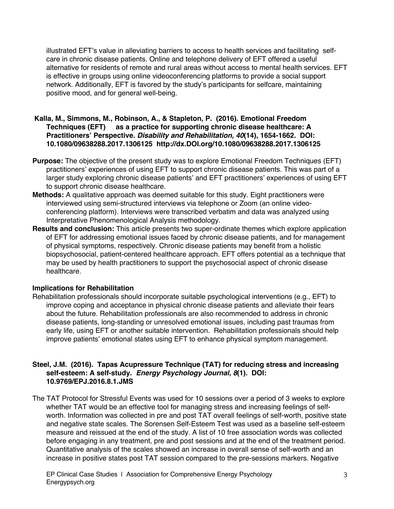illustrated EFT's value in alleviating barriers to access to health services and facilitating selfcare in chronic disease patients. Online and telephone delivery of EFT offered a useful alternative for residents of remote and rural areas without access to mental health services. EFT is effective in groups using online videoconferencing platforms to provide a social support network. Additionally, EFT is favored by the study's participants for selfcare, maintaining positive mood, and for general well-being.

## **Kalla, M., Simmons, M., Robinson, A., & Stapleton, P. (2016). Emotional Freedom Techniques (EFT) as a practice for supporting chronic disease healthcare: A Practitioners' Perspective.** *Disability and Rehabilitation, 40***(14), 1654-1662. DOI: 10.1080/09638288.2017.1306125 http://dx.DOI.org/10.1080/09638288.2017.1306125**

- **Purpose:** The objective of the present study was to explore Emotional Freedom Techniques (EFT) practitioners' experiences of using EFT to support chronic disease patients. This was part of a larger study exploring chronic disease patients' and EFT practitioners' experiences of using EFT to support chronic disease healthcare.
- **Methods:** A qualitative approach was deemed suitable for this study. Eight practitioners were interviewed using semi-structured interviews via telephone or Zoom (an online videoconferencing platform). Interviews were transcribed verbatim and data was analyzed using Interpretative Phenomenological Analysis methodology.
- **Results and conclusion:** This article presents two super-ordinate themes which explore application of EFT for addressing emotional issues faced by chronic disease patients, and for management of physical symptoms, respectively. Chronic disease patients may benefit from a holistic biopsychosocial, patient-centered healthcare approach. EFT offers potential as a technique that may be used by health practitioners to support the psychosocial aspect of chronic disease healthcare.

#### **Implications for Rehabilitation**

Rehabilitation professionals should incorporate suitable psychological interventions (e.g., EFT) to improve coping and acceptance in physical chronic disease patients and alleviate their fears about the future. Rehabilitation professionals are also recommended to address in chronic disease patients, long-standing or unresolved emotional issues, including past traumas from early life, using EFT or another suitable intervention. Rehabilitation professionals should help improve patients' emotional states using EFT to enhance physical symptom management.

#### **Steel, J.M. (2016). Tapas Acupressure Technique (TAT) for reducing stress and increasing self-esteem: A self-study.** *Energy Psychology Journal, 8***(1). DOI: 10.9769/EPJ.2016.8.1.JMS**

The TAT Protocol for Stressful Events was used for 10 sessions over a period of 3 weeks to explore whether TAT would be an effective tool for managing stress and increasing feelings of selfworth. Information was collected in pre and post TAT overall feelings of self-worth, positive state and negative state scales. The Sorensen Self-Esteem Test was used as a baseline self-esteem measure and reissued at the end of the study. A list of 10 free association words was collected before engaging in any treatment, pre and post sessions and at the end of the treatment period. Quantitative analysis of the scales showed an increase in overall sense of self-worth and an increase in positive states post TAT session compared to the pre-sessions markers. Negative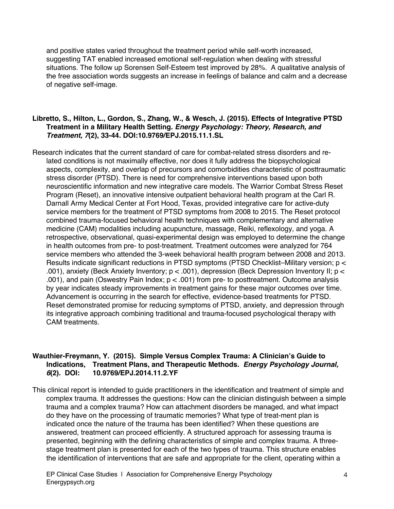and positive states varied throughout the treatment period while self-worth increased, suggesting TAT enabled increased emotional self-regulation when dealing with stressful situations. The follow up Sorensen Self-Esteem test improved by 28%. A qualitative analysis of the free association words suggests an increase in feelings of balance and calm and a decrease of negative self-image.

#### **Libretto, S., Hilton, L., Gordon, S., Zhang, W., & Wesch, J. (2015). Effects of Integrative PTSD Treatment in a Military Health Setting.** *Energy Psychology: Theory, Research, and Treatment, 7***(2), 33-44. DOI:10.9769/EPJ.2015.11.1.SL**

Research indicates that the current standard of care for combat-related stress disorders and related conditions is not maximally effective, nor does it fully address the biopsychological aspects, complexity, and overlap of precursors and comorbidities characteristic of posttraumatic stress disorder (PTSD). There is need for comprehensive interventions based upon both neuroscientific information and new integrative care models. The Warrior Combat Stress Reset Program (Reset), an innovative intensive outpatient behavioral health program at the Carl R. Darnall Army Medical Center at Fort Hood, Texas, provided integrative care for active-duty service members for the treatment of PTSD symptoms from 2008 to 2015. The Reset protocol combined trauma-focused behavioral health techniques with complementary and alternative medicine (CAM) modalities including acupuncture, massage, Reiki, reflexology, and yoga. A retrospective, observational, quasi-experimental design was employed to determine the change in health outcomes from pre- to post-treatment. Treatment outcomes were analyzed for 764 service members who attended the 3-week behavioral health program between 2008 and 2013. Results indicate significant reductions in PTSD symptoms (PTSD Checklist–Military version; p < .001), anxiety (Beck Anxiety Inventory;  $p < .001$ ), depression (Beck Depression Inventory II;  $p <$ .001), and pain (Oswestry Pain Index;  $p < .001$ ) from pre- to posttreatment. Outcome analysis by year indicates steady improvements in treatment gains for these major outcomes over time. Advancement is occurring in the search for effective, evidence-based treatments for PTSD. Reset demonstrated promise for reducing symptoms of PTSD, anxiety, and depression through its integrative approach combining traditional and trauma-focused psychological therapy with CAM treatments.

#### **Wauthier-Freymann, Y. (2015). Simple Versus Complex Trauma: A Clinician's Guide to Indications, Treatment Plans, and Therapeutic Methods.** *Energy Psychology Journal, 6***(2). DOI: 10.9769/EPJ.2014.11.2.YF**

This clinical report is intended to guide practitioners in the identification and treatment of simple and complex trauma. It addresses the questions: How can the clinician distinguish between a simple trauma and a complex trauma? How can attachment disorders be managed, and what impact do they have on the processing of traumatic memories? What type of treat-ment plan is indicated once the nature of the trauma has been identified? When these questions are answered, treatment can proceed efficiently. A structured approach for assessing trauma is presented, beginning with the defining characteristics of simple and complex trauma. A threestage treatment plan is presented for each of the two types of trauma. This structure enables the identification of interventions that are safe and appropriate for the client, operating within a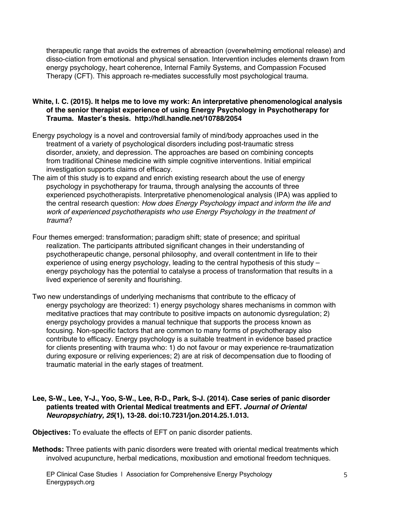therapeutic range that avoids the extremes of abreaction (overwhelming emotional release) and disso-ciation from emotional and physical sensation. Intervention includes elements drawn from energy psychology, heart coherence, Internal Family Systems, and Compassion Focused Therapy (CFT). This approach re-mediates successfully most psychological trauma.

## **White, I. C. (2015). It helps me to love my work: An interpretative phenomenological analysis of the senior therapist experience of using Energy Psychology in Psychotherapy for Trauma. Master's thesis. http://hdl.handle.net/10788/2054**

- Energy psychology is a novel and controversial family of mind/body approaches used in the treatment of a variety of psychological disorders including post-traumatic stress disorder, anxiety, and depression. The approaches are based on combining concepts from traditional Chinese medicine with simple cognitive interventions. Initial empirical investigation supports claims of efficacy.
- The aim of this study is to expand and enrich existing research about the use of energy psychology in psychotherapy for trauma, through analysing the accounts of three experienced psychotherapists. Interpretative phenomenological analysis (IPA) was applied to the central research question: *How does Energy Psychology impact and inform the life and work of experienced psychotherapists who use Energy Psychology in the treatment of trauma*?
- Four themes emerged: transformation; paradigm shift; state of presence; and spiritual realization. The participants attributed significant changes in their understanding of psychotherapeutic change, personal philosophy, and overall contentment in life to their experience of using energy psychology, leading to the central hypothesis of this study – energy psychology has the potential to catalyse a process of transformation that results in a lived experience of serenity and flourishing.
- Two new understandings of underlying mechanisms that contribute to the efficacy of energy psychology are theorized: 1) energy psychology shares mechanisms in common with meditative practices that may contribute to positive impacts on autonomic dysregulation; 2) energy psychology provides a manual technique that supports the process known as focusing. Non-specific factors that are common to many forms of psychotherapy also contribute to efficacy. Energy psychology is a suitable treatment in evidence based practice for clients presenting with trauma who: 1) do not favour or may experience re-traumatization during exposure or reliving experiences; 2) are at risk of decompensation due to flooding of traumatic material in the early stages of treatment.
- **Lee, S-W., Lee, Y-J., Yoo, S-W., Lee, R-D., Park, S-J. (2014). Case series of panic disorder patients treated with Oriental Medical treatments and EFT.** *Journal of Oriental Neuropsychiatry, 25***(1), 13-28. doi:10.7231/jon.2014.25.1.013.**

**Objectives:** To evaluate the effects of EFT on panic disorder patients.

**Methods:** Three patients with panic disorders were treated with oriental medical treatments which involved acupuncture, herbal medications, moxibustion and emotional freedom techniques.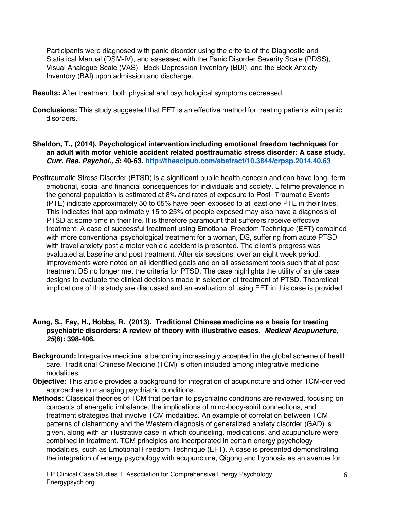Participants were diagnosed with panic disorder using the criteria of the Diagnostic and Statistical Manual (DSM-IV), and assessed with the Panic Disorder Severity Scale (PDSS), Visual Analogue Scale (VAS), Beck Depression Inventory (BDI), and the Beck Anxiety Inventory (BAI) upon admission and discharge.

- **Results:** After treatment, both physical and psychological symptoms decreased.
- **Conclusions:** This study suggested that EFT is an effective method for treating patients with panic disorders.
- **Sheldon, T., (2014). Psychological intervention including emotional freedom techniques for an adult with motor vehicle accident related posttraumatic stress disorder: A case study.**  *Curr. Res. Psychol., 5***: 40-63. http://thescipub.com/abstract/10.3844/crpsp.2014.40.63**
- Posttraumatic Stress Disorder (PTSD) is a significant public health concern and can have long- term emotional, social and financial consequences for individuals and society. Lifetime prevalence in the general population is estimated at 8% and rates of exposure to Post- Traumatic Events (PTE) indicate approximately 50 to 65% have been exposed to at least one PTE in their lives. This indicates that approximately 15 to 25% of people exposed may also have a diagnosis of PTSD at some time in their life. It is therefore paramount that sufferers receive effective treatment. A case of successful treatment using Emotional Freedom Technique (EFT) combined with more conventional psychological treatment for a woman, DS, suffering from acute PTSD with travel anxiety post a motor vehicle accident is presented. The client's progress was evaluated at baseline and post treatment. After six sessions, over an eight week period, improvements were noted on all identified goals and on all assessment tools such that at post treatment DS no longer met the criteria for PTSD. The case highlights the utility of single case designs to evaluate the clinical decisions made in selection of treatment of PTSD. Theoretical implications of this study are discussed and an evaluation of using EFT in this case is provided.

#### **Aung, S., Fay, H., Hobbs, R. (2013). Traditional Chinese medicine as a basis for treating psychiatric disorders: A review of theory with illustrative cases.** *Medical Acupuncture, 25***(6): 398-406.**

- **Background:** Integrative medicine is becoming increasingly accepted in the global scheme of health care. Traditional Chinese Medicine (TCM) is often included among integrative medicine modalities.
- **Objective:** This article provides a background for integration of acupuncture and other TCM-derived approaches to managing psychiatric conditions.
- **Methods:** Classical theories of TCM that pertain to psychiatric conditions are reviewed, focusing on concepts of energetic imbalance, the implications of mind-body-spirit connections, and treatment strategies that involve TCM modalities. An example of correlation between TCM patterns of disharmony and the Western diagnosis of generalized anxiety disorder (GAD) is given, along with an illustrative case in which counseling, medications, and acupuncture were combined in treatment. TCM principles are incorporated in certain energy psychology modalities, such as Emotional Freedom Technique (EFT). A case is presented demonstrating the integration of energy psychology with acupuncture, Qigong and hypnosis as an avenue for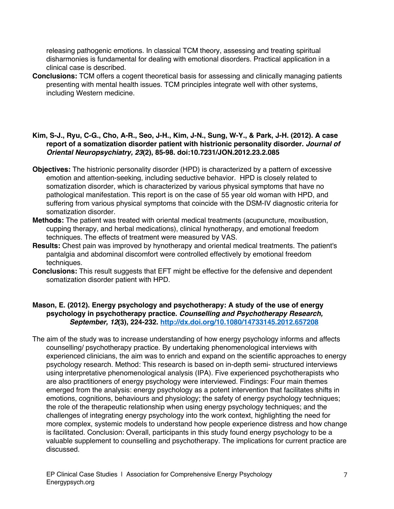releasing pathogenic emotions. In classical TCM theory, assessing and treating spiritual disharmonies is fundamental for dealing with emotional disorders. Practical application in a clinical case is described.

**Conclusions:** TCM offers a cogent theoretical basis for assessing and clinically managing patients presenting with mental health issues. TCM principles integrate well with other systems, including Western medicine.

## **Kim, S-J., Ryu, C-G., Cho, A-R., Seo, J-H., Kim, J-N., Sung, W-Y., & Park, J-H. (2012). A case report of a somatization disorder patient with histrionic personality disorder.** *Journal of Oriental Neuropsychiatry, 23***(2), 85-98. doi:10.7231/JON.2012.23.2.085**

- **Objectives:** The histrionic personality disorder (HPD) is characterized by a pattern of excessive emotion and attention-seeking, including seductive behavior. HPD is closely related to somatization disorder, which is characterized by various physical symptoms that have no pathological manifestation. This report is on the case of 55 year old woman with HPD, and suffering from various physical symptoms that coincide with the DSM-IV diagnostic criteria for somatization disorder.
- **Methods:** The patient was treated with oriental medical treatments (acupuncture, moxibustion, cupping therapy, and herbal medications), clinical hynotherapy, and emotional freedom techniques. The effects of treatment were measured by VAS.
- **Results:** Chest pain was improved by hynotherapy and oriental medical treatments. The patient's pantalgia and abdominal discomfort were controlled effectively by emotional freedom techniques.
- **Conclusions:** This result suggests that EFT might be effective for the defensive and dependent somatization disorder patient with HPD.

## **Mason, E. (2012). Energy psychology and psychotherapy: A study of the use of energy psychology in psychotherapy practice.** *Counselling and Psychotherapy Research, September, 12***(3), 224-232. http://dx.doi.org/10.1080/14733145.2012.657208**

The aim of the study was to increase understanding of how energy psychology informs and affects counselling/ psychotherapy practice. By undertaking phenomenological interviews with experienced clinicians, the aim was to enrich and expand on the scientific approaches to energy psychology research. Method: This research is based on in-depth semi- structured interviews using interpretative phenomenological analysis (IPA). Five experienced psychotherapists who are also practitioners of energy psychology were interviewed. Findings: Four main themes emerged from the analysis: energy psychology as a potent intervention that facilitates shifts in emotions, cognitions, behaviours and physiology; the safety of energy psychology techniques; the role of the therapeutic relationship when using energy psychology techniques; and the challenges of integrating energy psychology into the work context, highlighting the need for more complex, systemic models to understand how people experience distress and how change is facilitated. Conclusion: Overall, participants in this study found energy psychology to be a valuable supplement to counselling and psychotherapy. The implications for current practice are discussed.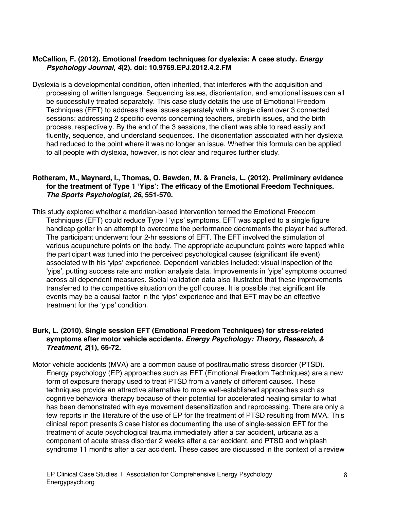#### **McCallion, F. (2012). Emotional freedom techniques for dyslexia: A case study***. Energy Psychology Journal, 4***(2). doi: 10.9769.EPJ.2012.4.2.FM**

Dyslexia is a developmental condition, often inherited, that interferes with the acquisition and processing of written language. Sequencing issues, disorientation, and emotional issues can all be successfully treated separately. This case study details the use of Emotional Freedom Techniques (EFT) to address these issues separately with a single client over 3 connected sessions: addressing 2 specific events concerning teachers, prebirth issues, and the birth process, respectively. By the end of the 3 sessions, the client was able to read easily and fluently, sequence, and understand sequences. The disorientation associated with her dyslexia had reduced to the point where it was no longer an issue. Whether this formula can be applied to all people with dyslexia, however, is not clear and requires further study.

## **Rotheram, M., Maynard, I., Thomas, O. Bawden, M. & Francis, L. (2012). Preliminary evidence for the treatment of Type 1 'Yips': The efficacy of the Emotional Freedom Techniques.**  *The Sports Psychologist, 26***, 551-570.**

This study explored whether a meridian-based intervention termed the Emotional Freedom Techniques (EFT) could reduce Type I 'yips' symptoms. EFT was applied to a single figure handicap golfer in an attempt to overcome the performance decrements the player had suffered. The participant underwent four 2-hr sessions of EFT. The EFT involved the stimulation of various acupuncture points on the body. The appropriate acupuncture points were tapped while the participant was tuned into the perceived psychological causes (significant life event) associated with his 'yips' experience. Dependent variables included: visual inspection of the 'yips', putting success rate and motion analysis data. Improvements in 'yips' symptoms occurred across all dependent measures. Social validation data also illustrated that these improvements transferred to the competitive situation on the golf course. It is possible that significant life events may be a causal factor in the 'yips' experience and that EFT may be an effective treatment for the 'yips' condition.

## **Burk, L. (2010). Single session EFT (Emotional Freedom Techniques) for stress-related symptoms after motor vehicle accidents.** *Energy Psychology: Theory, Research, & Treatment, 2***(1), 65-72.**

Motor vehicle accidents (MVA) are a common cause of posttraumatic stress disorder (PTSD). Energy psychology (EP) approaches such as EFT (Emotional Freedom Techniques) are a new form of exposure therapy used to treat PTSD from a variety of different causes. These techniques provide an attractive alternative to more well-established approaches such as cognitive behavioral therapy because of their potential for accelerated healing similar to what has been demonstrated with eye movement desensitization and reprocessing. There are only a few reports in the literature of the use of EP for the treatment of PTSD resulting from MVA. This clinical report presents 3 case histories documenting the use of single-session EFT for the treatment of acute psychological trauma immediately after a car accident, urticaria as a component of acute stress disorder 2 weeks after a car accident, and PTSD and whiplash syndrome 11 months after a car accident. These cases are discussed in the context of a review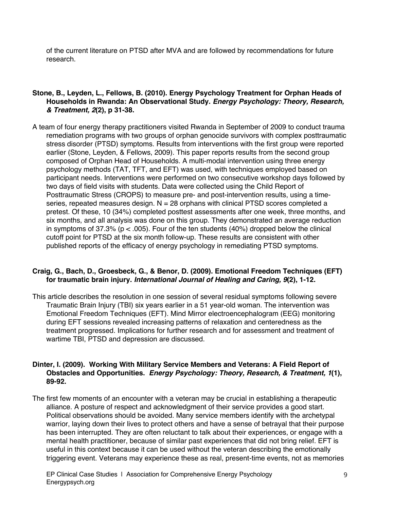of the current literature on PTSD after MVA and are followed by recommendations for future research.

## **Stone, B., Leyden, L., Fellows, B. (2010). Energy Psychology Treatment for Orphan Heads of Households in Rwanda: An Observational Study.** *Energy Psychology: Theory, Research, & Treatment, 2***(2), p 31-38.**

A team of four energy therapy practitioners visited Rwanda in September of 2009 to conduct trauma remediation programs with two groups of orphan genocide survivors with complex posttraumatic stress disorder (PTSD) symptoms. Results from interventions with the first group were reported earlier (Stone, Leyden, & Fellows, 2009). This paper reports results from the second group composed of Orphan Head of Households. A multi-modal intervention using three energy psychology methods (TAT, TFT, and EFT) was used, with techniques employed based on participant needs. Interventions were performed on two consecutive workshop days followed by two days of field visits with students. Data were collected using the Child Report of Posttraumatic Stress (CROPS) to measure pre- and post-intervention results, using a timeseries, repeated measures design.  $N = 28$  orphans with clinical PTSD scores completed a pretest. Of these, 10 (34%) completed posttest assessments after one week, three months, and six months, and all analysis was done on this group. They demonstrated an average reduction in symptoms of 37.3% ( $p < .005$ ). Four of the ten students (40%) dropped below the clinical cutoff point for PTSD at the six month follow-up. These results are consistent with other published reports of the efficacy of energy psychology in remediating PTSD symptoms.

#### **Craig, G., Bach, D., Groesbeck, G., & Benor, D. (2009). Emotional Freedom Techniques (EFT) for traumatic brain injury.** *International Journal of Healing and Caring, 9***(2), 1-12.**

This article describes the resolution in one session of several residual symptoms following severe Traumatic Brain Injury (TBI) six years earlier in a 51 year-old woman. The intervention was Emotional Freedom Techniques (EFT). Mind Mirror electroencephalogram (EEG) monitoring during EFT sessions revealed increasing patterns of relaxation and centeredness as the treatment progressed. Implications for further research and for assessment and treatment of wartime TBI, PTSD and depression are discussed.

## **Dinter, I. (2009). Working With Military Service Members and Veterans: A Field Report of Obstacles and Opportunities.** *Energy Psychology: Theory, Research, & Treatment, 1***(1), 89-92.**

The first few moments of an encounter with a veteran may be crucial in establishing a therapeutic alliance. A posture of respect and acknowledgment of their service provides a good start. Political observations should be avoided. Many service members identify with the archetypal warrior, laying down their lives to protect others and have a sense of betrayal that their purpose has been interrupted. They are often reluctant to talk about their experiences, or engage with a mental health practitioner, because of similar past experiences that did not bring relief. EFT is useful in this context because it can be used without the veteran describing the emotionally triggering event. Veterans may experience these as real, present-time events, not as memories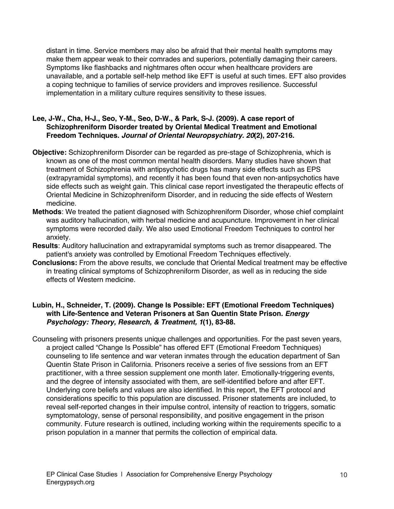distant in time. Service members may also be afraid that their mental health symptoms may make them appear weak to their comrades and superiors, potentially damaging their careers. Symptoms like flashbacks and nightmares often occur when healthcare providers are unavailable, and a portable self-help method like EFT is useful at such times. EFT also provides a coping technique to families of service providers and improves resilience. Successful implementation in a military culture requires sensitivity to these issues.

## **Lee, J-W., Cha, H-J., Seo, Y-M., Seo, D-W., & Park, S-J. (2009). A case report of Schizophreniform Disorder treated by Oriental Medical Treatment and Emotional Freedom Techniques.** *Journal of Oriental Neuropsychiatry. 20***(2), 207-216.**

- **Objective:** Schizophreniform Disorder can be regarded as pre-stage of Schizophrenia, which is known as one of the most common mental health disorders. Many studies have shown that treatment of Schizophrenia with antipsychotic drugs has many side effects such as EPS (extrapyramidal symptoms), and recently it has been found that even non-antipsychotics have side effects such as weight gain. This clinical case report investigated the therapeutic effects of Oriental Medicine in Schizophreniform Disorder, and in reducing the side effects of Western medicine.
- **Methods**: We treated the patient diagnosed with Schizophreniform Disorder, whose chief complaint was auditory hallucination, with herbal medicine and acupuncture. Improvement in her clinical symptoms were recorded daily. We also used Emotional Freedom Techniques to control her anxiety.
- **Results**: Auditory hallucination and extrapyramidal symptoms such as tremor disappeared. The patient's anxiety was controlled by Emotional Freedom Techniques effectively.
- **Conclusions:** From the above results, we conclude that Oriental Medical treatment may be effective in treating clinical symptoms of Schizophreniform Disorder, as well as in reducing the side effects of Western medicine.

## **Lubin, H., Schneider, T. (2009). Change Is Possible: EFT (Emotional Freedom Techniques) with Life-Sentence and Veteran Prisoners at San Quentin State Prison.** *Energy Psychology: Theory, Research, & Treatment, 1***(1), 83-88.**

Counseling with prisoners presents unique challenges and opportunities. For the past seven years, a project called "Change Is Possible" has offered EFT (Emotional Freedom Techniques) counseling to life sentence and war veteran inmates through the education department of San Quentin State Prison in California. Prisoners receive a series of five sessions from an EFT practitioner, with a three session supplement one month later. Emotionally-triggering events, and the degree of intensity associated with them, are self-identified before and after EFT. Underlying core beliefs and values are also identified. In this report, the EFT protocol and considerations specific to this population are discussed. Prisoner statements are included, to reveal self-reported changes in their impulse control, intensity of reaction to triggers, somatic symptomatology, sense of personal responsibility, and positive engagement in the prison community. Future research is outlined, including working within the requirements specific to a prison population in a manner that permits the collection of empirical data.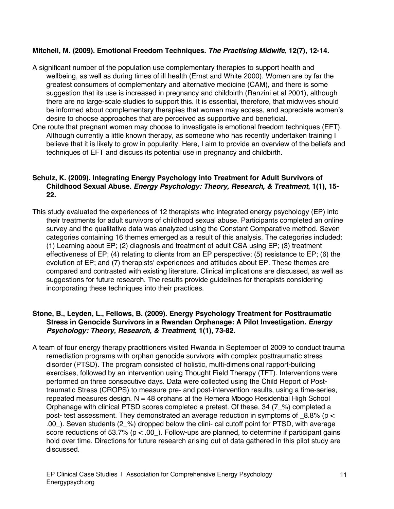## **Mitchell, M. (2009). Emotional Freedom Techniques.** *The Practising Midwife***, 12(7), 12-14.**

- A significant number of the population use complementary therapies to support health and wellbeing, as well as during times of ill health (Ernst and White 2000). Women are by far the greatest consumers of complementary and alternative medicine (CAM), and there is some suggestion that its use is increased in pregnancy and childbirth (Ranzini et al 2001), although there are no large-scale studies to support this. It is essential, therefore, that midwives should be informed about complementary therapies that women may access, and appreciate women's desire to choose approaches that are perceived as supportive and beneficial.
- One route that pregnant women may choose to investigate is emotional freedom techniques (EFT). Although currently a little known therapy, as someone who has recently undertaken training I believe that it is likely to grow in popularity. Here, I aim to provide an overview of the beliefs and techniques of EFT and discuss its potential use in pregnancy and childbirth.

## **Schulz, K. (2009). Integrating Energy Psychology into Treatment for Adult Survivors of Childhood Sexual Abuse.** *Energy Psychology: Theory, Research, & Treatment***, 1(1), 15- 22.**

This study evaluated the experiences of 12 therapists who integrated energy psychology (EP) into their treatments for adult survivors of childhood sexual abuse. Participants completed an online survey and the qualitative data was analyzed using the Constant Comparative method. Seven categories containing 16 themes emerged as a result of this analysis. The categories included: (1) Learning about EP; (2) diagnosis and treatment of adult CSA using EP; (3) treatment effectiveness of EP; (4) relating to clients from an EP perspective; (5) resistance to EP; (6) the evolution of EP; and (7) therapists' experiences and attitudes about EP. These themes are compared and contrasted with existing literature. Clinical implications are discussed, as well as suggestions for future research. The results provide guidelines for therapists considering incorporating these techniques into their practices.

## **Stone, B., Leyden, L., Fellows, B. (2009). Energy Psychology Treatment for Posttraumatic Stress in Genocide Survivors in a Rwandan Orphanage: A Pilot Investigation.** *Energy Psychology: Theory, Research, & Treatment***, 1(1), 73-82.**

A team of four energy therapy practitioners visited Rwanda in September of 2009 to conduct trauma remediation programs with orphan genocide survivors with complex posttraumatic stress disorder (PTSD). The program consisted of holistic, multi-dimensional rapport-building exercises, followed by an intervention using Thought Field Therapy (TFT). Interventions were performed on three consecutive days. Data were collected using the Child Report of Posttraumatic Stress (CROPS) to measure pre- and post-intervention results, using a time-series, repeated measures design.  $N = 48$  orphans at the Remera Mbogo Residential High School Orphanage with clinical PTSD scores completed a pretest. Of these, 34 (7\_%) completed a post- test assessment. They demonstrated an average reduction in symptoms of  $8.8\%$  (p < .00\_). Seven students (2\_%) dropped below the clini- cal cutoff point for PTSD, with average score reductions of 53.7% ( $p < 0.0$ ). Follow-ups are planned, to determine if participant gains hold over time. Directions for future research arising out of data gathered in this pilot study are discussed.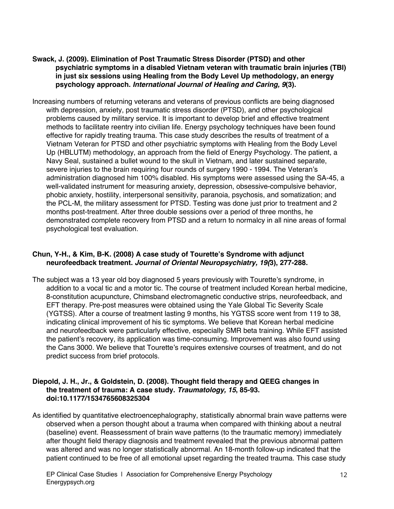- **Swack, J. (2009). Elimination of Post Traumatic Stress Disorder (PTSD) and other psychiatric symptoms in a disabled Vietnam veteran with traumatic brain injuries (TBI) in just six sessions using Healing from the Body Level Up methodology, an energy psychology approach.** *International Journal of Healing and Caring, 9***(3).**
- Increasing numbers of returning veterans and veterans of previous conflicts are being diagnosed with depression, anxiety, post traumatic stress disorder (PTSD), and other psychological problems caused by military service. It is important to develop brief and effective treatment methods to facilitate reentry into civilian life. Energy psychology techniques have been found effective for rapidly treating trauma. This case study describes the results of treatment of a Vietnam Veteran for PTSD and other psychiatric symptoms with Healing from the Body Level Up (HBLUTM) methodology, an approach from the field of Energy Psychology. The patient, a Navy Seal, sustained a bullet wound to the skull in Vietnam, and later sustained separate, severe injuries to the brain requiring four rounds of surgery 1990 - 1994. The Veteran's administration diagnosed him 100% disabled. His symptoms were assessed using the SA-45, a well-validated instrument for measuring anxiety, depression, obsessive-compulsive behavior, phobic anxiety, hostility, interpersonal sensitivity, paranoia, psychosis, and somatization; and the PCL-M, the military assessment for PTSD. Testing was done just prior to treatment and 2 months post-treatment. After three double sessions over a period of three months, he demonstrated complete recovery from PTSD and a return to normalcy in all nine areas of formal psychological test evaluation.

#### **Chun, Y-H., & Kim, B-K. (2008) A case study of Tourette's Syndrome with adjunct neurofeedback treatment.** *Journal of Oriental Neuropsychiatry, 19(***3), 277-288.**

The subject was a 13 year old boy diagnosed 5 years previously with Tourette's syndrome, in addition to a vocal tic and a motor tic. The course of treatment included Korean herbal medicine, 8-constitution acupuncture, Chimsband electromagnetic conductive strips, neurofeedback, and EFT therapy. Pre-post measures were obtained using the Yale Global Tic Severity Scale (YGTSS). After a course of treatment lasting 9 months, his YGTSS score went from 119 to 38, indicating clinical improvement of his tic symptoms. We believe that Korean herbal medicine and neurofeedback were particularly effective, especially SMR beta training. While EFT assisted the patient's recovery, its application was time-consuming. Improvement was also found using the Cans 3000. We believe that Tourette's requires extensive courses of treatment, and do not predict success from brief protocols.

#### **Diepold, J. H., Jr., & Goldstein, D. (2008). Thought field therapy and QEEG changes in the treatment of trauma: A case study.** *Traumatology, 15***, 85-93. doi:10.1177/1534765608325304**

As identified by quantitative electroencephalography, statistically abnormal brain wave patterns were observed when a person thought about a trauma when compared with thinking about a neutral (baseline) event. Reassessment of brain wave patterns (to the traumatic memory) immediately after thought field therapy diagnosis and treatment revealed that the previous abnormal pattern was altered and was no longer statistically abnormal. An 18-month follow-up indicated that the patient continued to be free of all emotional upset regarding the treated trauma. This case study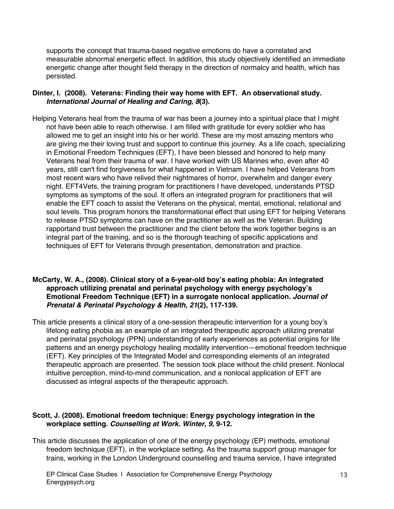supports the concept that trauma-based negative emotions do have a correlated and measurable abnormal energetic effect. In addition, this study objectively identified an immediate energetic change after thought field therapy in the direction of normalcy and health, which has persisted.

## **Dinter, I. (2008). Veterans: Finding their way home with EFT. An observational study.**  *International Journal of Healing and Caring, 8***(3).**

Helping Veterans heal from the trauma of war has been a journey into a spiritual place that I might not have been able to reach otherwise. I am filled with gratitude for every soldier who has allowed me to get an insight into his or her world. These are my most amazing mentors who are giving me their loving trust and support to continue this journey. As a life coach, specializing in Emotional Freedom Techniques (EFT), I have been blessed and honored to help many Veterans heal from their trauma of war. I have worked with US Marines who, even after 40 years, still can't find forgiveness for what happened in Vietnam. I have helped Veterans from most recent wars who have relived their nightmares of horror, overwhelm and danger every night. EFT4Vets, the training program for practitioners I have developed, understands PTSD symptoms as symptoms of the soul. It offers an integrated program for practitioners that will enable the EFT coach to assist the Veterans on the physical, mental, emotional, relational and soul levels. This program honors the transformational effect that using EFT for helping Veterans to release PTSD symptoms can have on the practitioner as well as the Veteran. Building rapportand trust between the practitioner and the client before the work together begins is an integral part of the training, and so is the thorough teaching of specific applications and techniques of EFT for Veterans through presentation, demonstration and practice.

#### **McCarty, W. A., (2008). Clinical story of a 6-year-old boy's eating phobia: An integrated approach utilizing prenatal and perinatal psychology with energy psychology's Emotional Freedom Technique (EFT) in a surrogate nonlocal application.** *Journal of Prenatal & Perinatal Psychology & Health, 21***(2), 117-139.**

This article presents a clinical story of a one-session therapeutic intervention for a young boy's lifelong eating phobia as an example of an integrated therapeutic approach utilizing prenatal and perinatal psychology (PPN) understanding of early experiences as potential origins for life patterns and an energy psychology healing modality intervention—emotional freedom technique (EFT). Key principles of the Integrated Model and corresponding elements of an integrated therapeutic approach are presented. The session took place without the child present. Nonlocal intuitive perception, mind-to-mind communication, and a nonlocal application of EFT are discussed as integral aspects of the therapeutic approach.

## **Scott, J. (2008). Emotional freedom technique: Energy psychology integration in the workplace setting.** *Counselling at Work. Winter, 9***, 9-12.**

This article discusses the application of one of the energy psychology (EP) methods, emotional freedom technique (EFT), in the workplace setting. As the trauma support group manager for trains, working in the London Underground counselling and trauma service, I have integrated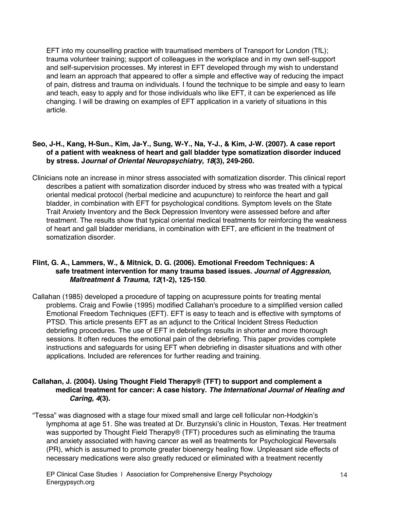EFT into my counselling practice with traumatised members of Transport for London (TfL); trauma volunteer training; support of colleagues in the workplace and in my own self-support and self-supervision processes. My interest in EFT developed through my wish to understand and learn an approach that appeared to offer a simple and effective way of reducing the impact of pain, distress and trauma on individuals. I found the technique to be simple and easy to learn and teach, easy to apply and for those individuals who like EFT, it can be experienced as life changing. I will be drawing on examples of EFT application in a variety of situations in this article.

## **Seo, J-H., Kang, H-Sun., Kim, Ja-Y., Sung, W-Y., Na, Y-J., & Kim, J-W. (2007). A case report of a patient with weakness of heart and gall bladder type somatization disorder induced by stress. J***ournal of Oriental Neuropsychiatry, 18***(3), 249-260.**

Clinicians note an increase in minor stress associated with somatization disorder. This clinical report describes a patient with somatization disorder induced by stress who was treated with a typical oriental medical protocol (herbal medicine and acupuncture) to reinforce the heart and gall bladder, in combination with EFT for psychological conditions. Symptom levels on the State Trait Anxiety Inventory and the Beck Depression Inventory were assessed before and after treatment. The results show that typical oriental medical treatments for reinforcing the weakness of heart and gall bladder meridians, in combination with EFT, are efficient in the treatment of somatization disorder.

## **Flint, G. A., Lammers, W., & Mitnick, D. G. (2006). Emotional Freedom Techniques: A safe treatment intervention for many trauma based issues.** *Journal of Aggression, Maltreatment & Trauma, 12***(1-2), 125-150**.

Callahan (1985) developed a procedure of tapping on acupressure points for treating mental problems. Craig and Fowlie (1995) modified Callahan's procedure to a simplified version called Emotional Freedom Techniques (EFT). EFT is easy to teach and is effective with symptoms of PTSD. This article presents EFT as an adjunct to the Critical Incident Stress Reduction debriefing procedures. The use of EFT in debriefings results in shorter and more thorough sessions. It often reduces the emotional pain of the debriefing. This paper provides complete instructions and safeguards for using EFT when debriefing in disaster situations and with other applications. Included are references for further reading and training.

## **Callahan, J. (2004). Using Thought Field Therapy® (TFT) to support and complement a medical treatment for cancer: A case history.** *The International Journal of Healing and Caring, 4***(3).**

"Tessa" was diagnosed with a stage four mixed small and large cell follicular non-Hodgkin's lymphoma at age 51. She was treated at Dr. Burzynski's clinic in Houston, Texas. Her treatment was supported by Thought Field Therapy® (TFT) procedures such as eliminating the trauma and anxiety associated with having cancer as well as treatments for Psychological Reversals (PR), which is assumed to promote greater bioenergy healing flow. Unpleasant side effects of necessary medications were also greatly reduced or eliminated with a treatment recently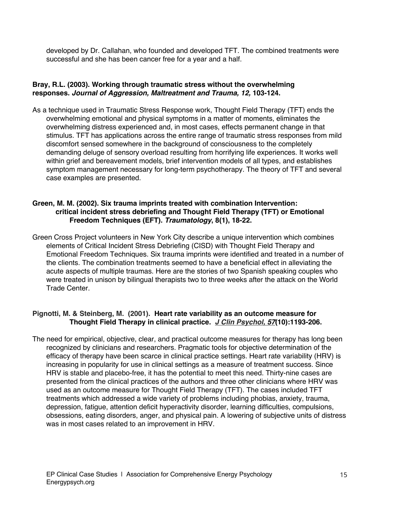developed by Dr. Callahan, who founded and developed TFT. The combined treatments were successful and she has been cancer free for a year and a half.

#### **Bray, R.L. (2003). Working through traumatic stress without the overwhelming responses.** *Journal of Aggression, Maltreatment and Trauma, 12,* **103-124.**

As a technique used in Traumatic Stress Response work, Thought Field Therapy (TFT) ends the overwhelming emotional and physical symptoms in a matter of moments, eliminates the overwhelming distress experienced and, in most cases, effects permanent change in that stimulus. TFT has applications across the entire range of traumatic stress responses from mild discomfort sensed somewhere in the background of consciousness to the completely demanding deluge of sensory overload resulting from horrifying life experiences. It works well within grief and bereavement models, brief intervention models of all types, and establishes symptom management necessary for long-term psychotherapy. The theory of TFT and several case examples are presented.

#### **Green, M. M. (2002). Six trauma imprints treated with combination Intervention: critical incident stress debriefing and Thought Field Therapy (TFT) or Emotional Freedom Techniques (EFT).** *Traumatology***, 8(1), 18-22.**

Green Cross Project volunteers in New York City describe a unique intervention which combines elements of Critical Incident Stress Debriefing (CISD) with Thought Field Therapy and Emotional Freedom Techniques. Six trauma imprints were identified and treated in a number of the clients. The combination treatments seemed to have a beneficial effect in alleviating the acute aspects of multiple traumas. Here are the stories of two Spanish speaking couples who were treated in unison by bilingual therapists two to three weeks after the attack on the World Trade Center.

## **Pignotti, M. & Steinberg, M. (2001). Heart rate variability as an outcome measure for Thought Field Therapy in clinical practice.** *J Clin Psychol, 57***(10):1193-206.**

The need for empirical, objective, clear, and practical outcome measures for therapy has long been recognized by clinicians and researchers. Pragmatic tools for objective determination of the efficacy of therapy have been scarce in clinical practice settings. Heart rate variability (HRV) is increasing in popularity for use in clinical settings as a measure of treatment success. Since HRV is stable and placebo-free, it has the potential to meet this need. Thirty-nine cases are presented from the clinical practices of the authors and three other clinicians where HRV was used as an outcome measure for Thought Field Therapy (TFT). The cases included TFT treatments which addressed a wide variety of problems including phobias, anxiety, trauma, depression, fatigue, attention deficit hyperactivity disorder, learning difficulties, compulsions, obsessions, eating disorders, anger, and physical pain. A lowering of subjective units of distress was in most cases related to an improvement in HRV.